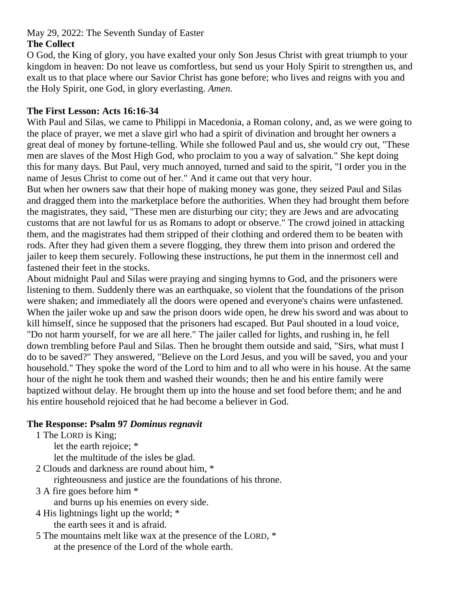# May 29, 2022: The Seventh Sunday of Easter

### **The Collect**

O God, the King of glory, you have exalted your only Son Jesus Christ with great triumph to your kingdom in heaven: Do not leave us comfortless, but send us your Holy Spirit to strengthen us, and exalt us to that place where our Savior Christ has gone before; who lives and reigns with you and the Holy Spirit, one God, in glory everlasting. *Amen.*

#### **The First Lesson: Acts 16:16-34**

With Paul and Silas, we came to Philippi in Macedonia, a Roman colony, and, as we were going to the place of prayer, we met a slave girl who had a spirit of divination and brought her owners a great deal of money by fortune-telling. While she followed Paul and us, she would cry out, "These men are slaves of the Most High God, who proclaim to you a way of salvation." She kept doing this for many days. But Paul, very much annoyed, turned and said to the spirit, "I order you in the name of Jesus Christ to come out of her." And it came out that very hour.

But when her owners saw that their hope of making money was gone, they seized Paul and Silas and dragged them into the marketplace before the authorities. When they had brought them before the magistrates, they said, "These men are disturbing our city; they are Jews and are advocating customs that are not lawful for us as Romans to adopt or observe." The crowd joined in attacking them, and the magistrates had them stripped of their clothing and ordered them to be beaten with rods. After they had given them a severe flogging, they threw them into prison and ordered the jailer to keep them securely. Following these instructions, he put them in the innermost cell and fastened their feet in the stocks.

About midnight Paul and Silas were praying and singing hymns to God, and the prisoners were listening to them. Suddenly there was an earthquake, so violent that the foundations of the prison were shaken; and immediately all the doors were opened and everyone's chains were unfastened. When the jailer woke up and saw the prison doors wide open, he drew his sword and was about to kill himself, since he supposed that the prisoners had escaped. But Paul shouted in a loud voice, "Do not harm yourself, for we are all here." The jailer called for lights, and rushing in, he fell down trembling before Paul and Silas. Then he brought them outside and said, "Sirs, what must I do to be saved?" They answered, "Believe on the Lord Jesus, and you will be saved, you and your household." They spoke the word of the Lord to him and to all who were in his house. At the same hour of the night he took them and washed their wounds; then he and his entire family were baptized without delay. He brought them up into the house and set food before them; and he and his entire household rejoiced that he had become a believer in God.

### **The Response: Psalm 97** *Dominus regnavit*

1 The LORD is King;

let the earth rejoice; \*

let the multitude of the isles be glad.

2 Clouds and darkness are round about him, \*

righteousness and justice are the foundations of his throne.

3 A fire goes before him \*

and burns up his enemies on every side.

4 His lightnings light up the world; \*

- the earth sees it and is afraid.
- 5 The mountains melt like wax at the presence of the LORD, \* at the presence of the Lord of the whole earth.